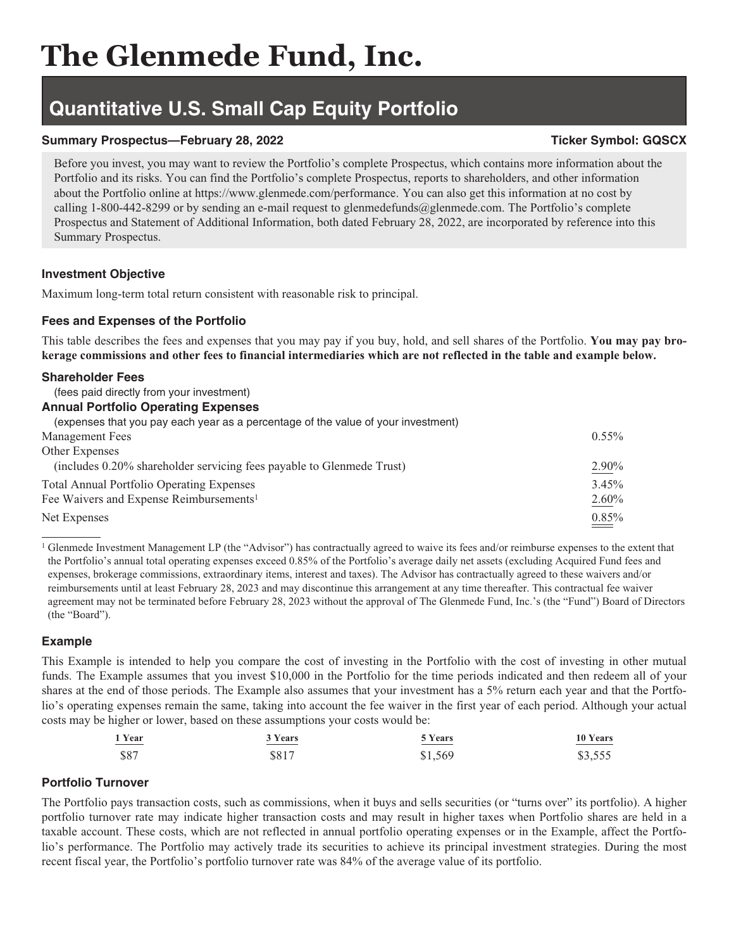# **Quantitative U.S. Small Cap Equity Portfolio**

# **Summary Prospectus—February 28, 2022** Ticker Symbol: GQSCX

Before you invest, you may want to review the Portfolio's complete Prospectus, which contains more information about the Portfolio and its risks. You can find the Portfolio's complete Prospectus, reports to shareholders, and other information about the Portfolio online at https://www.glenmede.com/performance. You can also get this information at no cost by calling 1-800-442-8299 or by sending an e-mail request to glenmedefunds@glenmede.com. The Portfolio's complete Prospectus and Statement of Additional Information, both dated February 28, 2022, are incorporated by reference into this Summary Prospectus.

# **Investment Objective**

Maximum long-term total return consistent with reasonable risk to principal.

# **Fees and Expenses of the Portfolio**

This table describes the fees and expenses that you may pay if you buy, hold, and sell shares of the Portfolio. **You may pay brokerage commissions and other fees to financial intermediaries which are not reflected in the table and example below.**

#### **Shareholder Fees**

# (fees paid directly from your investment)

#### **Annual Portfolio Operating Expenses**

| (expenses that you pay each year as a percentage of the value of your investment) |          |
|-----------------------------------------------------------------------------------|----------|
| <b>Management Fees</b>                                                            | $0.55\%$ |
| Other Expenses                                                                    |          |
| (includes 0.20% shareholder servicing fees payable to Glenmede Trust)             | 2.90%    |
| <b>Total Annual Portfolio Operating Expenses</b>                                  | 3.45%    |
| Fee Waivers and Expense Reimbursements <sup>1</sup>                               | 2.60%    |
| Net Expenses                                                                      | 0.85%    |

<sup>1</sup> Glenmede Investment Management LP (the "Advisor") has contractually agreed to waive its fees and/or reimburse expenses to the extent that the Portfolio's annual total operating expenses exceed 0.85% of the Portfolio's average daily net assets (excluding Acquired Fund fees and expenses, brokerage commissions, extraordinary items, interest and taxes). The Advisor has contractually agreed to these waivers and/or reimbursements until at least February 28, 2023 and may discontinue this arrangement at any time thereafter. This contractual fee waiver agreement may not be terminated before February 28, 2023 without the approval of The Glenmede Fund, Inc.'s (the "Fund") Board of Directors (the "Board").

# **Example**

This Example is intended to help you compare the cost of investing in the Portfolio with the cost of investing in other mutual funds. The Example assumes that you invest \$10,000 in the Portfolio for the time periods indicated and then redeem all of your shares at the end of those periods. The Example also assumes that your investment has a 5% return each year and that the Portfolio's operating expenses remain the same, taking into account the fee waiver in the first year of each period. Although your actual costs may be higher or lower, based on these assumptions your costs would be:

| 1 Year      | 3 Years | 5 Years | 10 Years |
|-------------|---------|---------|----------|
| _____       | _____   | _____   |          |
| <b>\$87</b> | \$817   | \$1,569 | \$3,555  |

# **Portfolio Turnover**

The Portfolio pays transaction costs, such as commissions, when it buys and sells securities (or "turns over" its portfolio). A higher portfolio turnover rate may indicate higher transaction costs and may result in higher taxes when Portfolio shares are held in a taxable account. These costs, which are not reflected in annual portfolio operating expenses or in the Example, affect the Portfolio's performance. The Portfolio may actively trade its securities to achieve its principal investment strategies. During the most recent fiscal year, the Portfolio's portfolio turnover rate was 84% of the average value of its portfolio.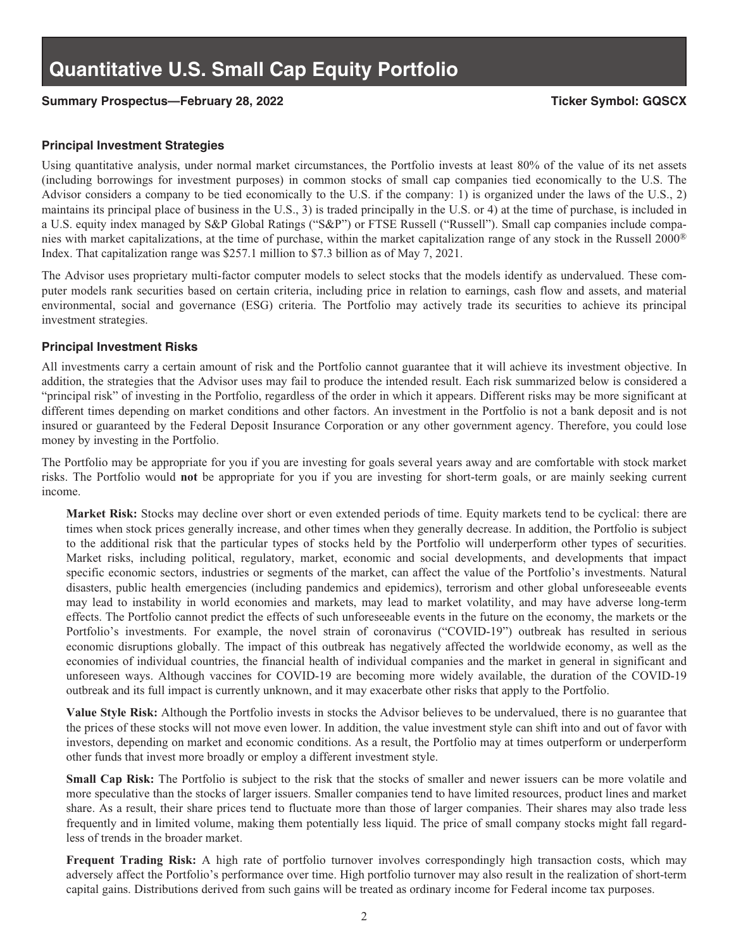## Summary Prospectus—February 28, 2022 **Ticker Symbol: GQSCX**

#### **Principal Investment Strategies**

Using quantitative analysis, under normal market circumstances, the Portfolio invests at least 80% of the value of its net assets (including borrowings for investment purposes) in common stocks of small cap companies tied economically to the U.S. The Advisor considers a company to be tied economically to the U.S. if the company: 1) is organized under the laws of the U.S., 2) maintains its principal place of business in the U.S., 3) is traded principally in the U.S. or 4) at the time of purchase, is included in a U.S. equity index managed by S&P Global Ratings ("S&P") or FTSE Russell ("Russell"). Small cap companies include companies with market capitalizations, at the time of purchase, within the market capitalization range of any stock in the Russell 2000® Index. That capitalization range was \$257.1 million to \$7.3 billion as of May 7, 2021.

The Advisor uses proprietary multi-factor computer models to select stocks that the models identify as undervalued. These computer models rank securities based on certain criteria, including price in relation to earnings, cash flow and assets, and material environmental, social and governance (ESG) criteria. The Portfolio may actively trade its securities to achieve its principal investment strategies.

#### **Principal Investment Risks**

All investments carry a certain amount of risk and the Portfolio cannot guarantee that it will achieve its investment objective. In addition, the strategies that the Advisor uses may fail to produce the intended result. Each risk summarized below is considered a "principal risk" of investing in the Portfolio, regardless of the order in which it appears. Different risks may be more significant at different times depending on market conditions and other factors. An investment in the Portfolio is not a bank deposit and is not insured or guaranteed by the Federal Deposit Insurance Corporation or any other government agency. Therefore, you could lose money by investing in the Portfolio.

The Portfolio may be appropriate for you if you are investing for goals several years away and are comfortable with stock market risks. The Portfolio would **not** be appropriate for you if you are investing for short-term goals, or are mainly seeking current income.

**Market Risk:** Stocks may decline over short or even extended periods of time. Equity markets tend to be cyclical: there are times when stock prices generally increase, and other times when they generally decrease. In addition, the Portfolio is subject to the additional risk that the particular types of stocks held by the Portfolio will underperform other types of securities. Market risks, including political, regulatory, market, economic and social developments, and developments that impact specific economic sectors, industries or segments of the market, can affect the value of the Portfolio's investments. Natural disasters, public health emergencies (including pandemics and epidemics), terrorism and other global unforeseeable events may lead to instability in world economies and markets, may lead to market volatility, and may have adverse long-term effects. The Portfolio cannot predict the effects of such unforeseeable events in the future on the economy, the markets or the Portfolio's investments. For example, the novel strain of coronavirus ("COVID-19") outbreak has resulted in serious economic disruptions globally. The impact of this outbreak has negatively affected the worldwide economy, as well as the economies of individual countries, the financial health of individual companies and the market in general in significant and unforeseen ways. Although vaccines for COVID-19 are becoming more widely available, the duration of the COVID-19 outbreak and its full impact is currently unknown, and it may exacerbate other risks that apply to the Portfolio.

**Value Style Risk:** Although the Portfolio invests in stocks the Advisor believes to be undervalued, there is no guarantee that the prices of these stocks will not move even lower. In addition, the value investment style can shift into and out of favor with investors, depending on market and economic conditions. As a result, the Portfolio may at times outperform or underperform other funds that invest more broadly or employ a different investment style.

**Small Cap Risk:** The Portfolio is subject to the risk that the stocks of smaller and newer issuers can be more volatile and more speculative than the stocks of larger issuers. Smaller companies tend to have limited resources, product lines and market share. As a result, their share prices tend to fluctuate more than those of larger companies. Their shares may also trade less frequently and in limited volume, making them potentially less liquid. The price of small company stocks might fall regardless of trends in the broader market.

**Frequent Trading Risk:** A high rate of portfolio turnover involves correspondingly high transaction costs, which may adversely affect the Portfolio's performance over time. High portfolio turnover may also result in the realization of short-term capital gains. Distributions derived from such gains will be treated as ordinary income for Federal income tax purposes.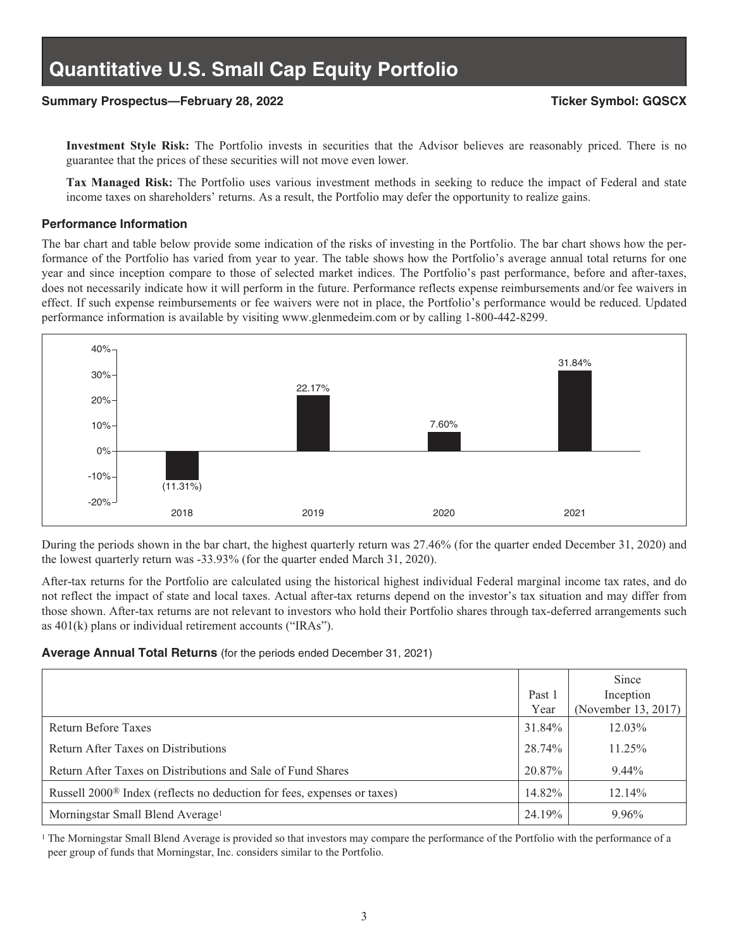### **Summary Prospectus—February 28, 2022 Ticker Symbol: GQSCX**

**Investment Style Risk:** The Portfolio invests in securities that the Advisor believes are reasonably priced. There is no guarantee that the prices of these securities will not move even lower.

**Tax Managed Risk:** The Portfolio uses various investment methods in seeking to reduce the impact of Federal and state income taxes on shareholders' returns. As a result, the Portfolio may defer the opportunity to realize gains.

#### **Performance Information**

The bar chart and table below provide some indication of the risks of investing in the Portfolio. The bar chart shows how the performance of the Portfolio has varied from year to year. The table shows how the Portfolio's average annual total returns for one year and since inception compare to those of selected market indices. The Portfolio's past performance, before and after-taxes, does not necessarily indicate how it will perform in the future. Performance reflects expense reimbursements and/or fee waivers in effect. If such expense reimbursements or fee waivers were not in place, the Portfolio's performance would be reduced. Updated performance information is available by visiting www.glenmedeim.com or by calling 1-800-442-8299.



During the periods shown in the bar chart, the highest quarterly return was 27.46% (for the quarter ended December 31, 2020) and the lowest quarterly return was -33.93% (for the quarter ended March 31, 2020).

After-tax returns for the Portfolio are calculated using the historical highest individual Federal marginal income tax rates, and do not reflect the impact of state and local taxes. Actual after-tax returns depend on the investor's tax situation and may differ from those shown. After-tax returns are not relevant to investors who hold their Portfolio shares through tax-deferred arrangements such as 401(k) plans or individual retirement accounts ("IRAs").

#### **Average Annual Total Returns** (for the periods ended December 31, 2021)

|                                                                                     |        | Since               |
|-------------------------------------------------------------------------------------|--------|---------------------|
|                                                                                     | Past 1 | Inception           |
|                                                                                     | Year   | (November 13, 2017) |
| Return Before Taxes                                                                 | 31.84% | $12.03\%$           |
| Return After Taxes on Distributions                                                 | 28.74% | $11.25\%$           |
| Return After Taxes on Distributions and Sale of Fund Shares                         | 20.87% | $9.44\%$            |
| Russell 2000 <sup>®</sup> Index (reflects no deduction for fees, expenses or taxes) | 14.82% | 12.14%              |
| Morningstar Small Blend Average <sup>1</sup>                                        | 24.19% | 9.96%               |

<sup>1</sup> The Morningstar Small Blend Average is provided so that investors may compare the performance of the Portfolio with the performance of a peer group of funds that Morningstar, Inc. considers similar to the Portfolio.